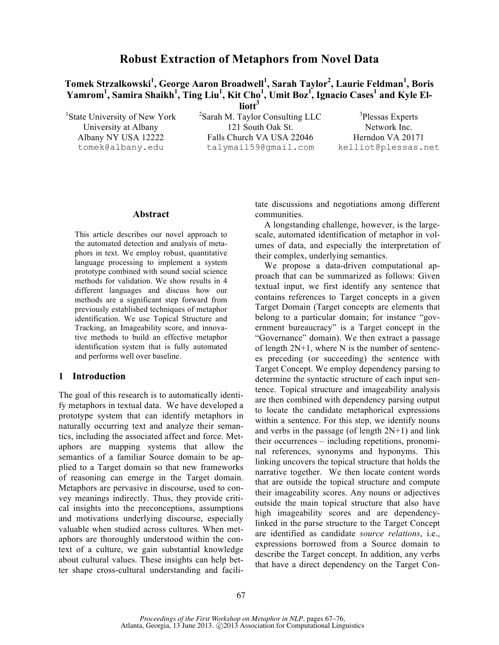# **Robust Extraction of Metaphors from Novel Data**

 $\mathbf{T}$ omek Strzalkowski $^{1}$ , George Aaron Broadwell $^{1}$ , Sarah Taylor<sup>2</sup>, Laurie Feldman $^{1}$ , Boris **Yamrom<sup>1</sup> , Samira Shaikh<sup>1</sup> , Ting Liu<sup>1</sup> , Kit Cho1 , Umit Boz1 , Ignacio Cases<sup>1</sup> and Kyle El-**

liott<sup>3</sup>

 $1$ State University of New York  $2$ 

 ${}^{2}$ Sarah M. Taylor Consulting LLC University at Albany 121 South Oak St.<br>Albany NY USA 12222 Falls Church VA USA 22046 Herndon VA 201 Falls Church VA USA 22046 Herndon VA 20171 tomek@albany.edu talymail59@gmail.com kelliot@plessas.net

<sup>3</sup>Plessas Experts

#### **Abstract**

This article describes our novel approach to the automated detection and analysis of metaphors in text. We employ robust, quantitative language processing to implement a system prototype combined with sound social science methods for validation. We show results in 4 different languages and discuss how our methods are a significant step forward from previously established techniques of metaphor identification. We use Topical Structure and Tracking, an Imageability score, and innovative methods to build an effective metaphor identification system that is fully automated and performs well over baseline.

# **1 Introduction**

The goal of this research is to automatically identify metaphors in textual data. We have developed a prototype system that can identify metaphors in naturally occurring text and analyze their semantics, including the associated affect and force. Metaphors are mapping systems that allow the semantics of a familiar Source domain to be applied to a Target domain so that new frameworks of reasoning can emerge in the Target domain. Metaphors are pervasive in discourse, used to convey meanings indirectly. Thus, they provide critical insights into the preconceptions, assumptions and motivations underlying discourse, especially valuable when studied across cultures. When metaphors are thoroughly understood within the context of a culture, we gain substantial knowledge about cultural values. These insights can help better shape cross-cultural understanding and facilitate discussions and negotiations among different communities.

A longstanding challenge, however, is the largescale, automated identification of metaphor in volumes of data, and especially the interpretation of their complex, underlying semantics.

We propose a data-driven computational approach that can be summarized as follows: Given textual input, we first identify any sentence that contains references to Target concepts in a given Target Domain (Target concepts are elements that belong to a particular domain; for instance "government bureaucracy" is a Target concept in the "Governance" domain). We then extract a passage of length  $2N+1$ , where N is the number of sentences preceding (or succeeding) the sentence with Target Concept. We employ dependency parsing to determine the syntactic structure of each input sentence. Topical structure and imageability analysis are then combined with dependency parsing output to locate the candidate metaphorical expressions within a sentence. For this step, we identify nouns and verbs in the passage (of length  $2N+1$ ) and link their occurrences – including repetitions, pronominal references, synonyms and hyponyms. This linking uncovers the topical structure that holds the narrative together. We then locate content words that are outside the topical structure and compute their imageability scores. Any nouns or adjectives outside the main topical structure that also have high imageability scores and are dependencylinked in the parse structure to the Target Concept are identified as candidate *source relations*, i.e., expressions borrowed from a Source domain to describe the Target concept. In addition, any verbs that have a direct dependency on the Target Con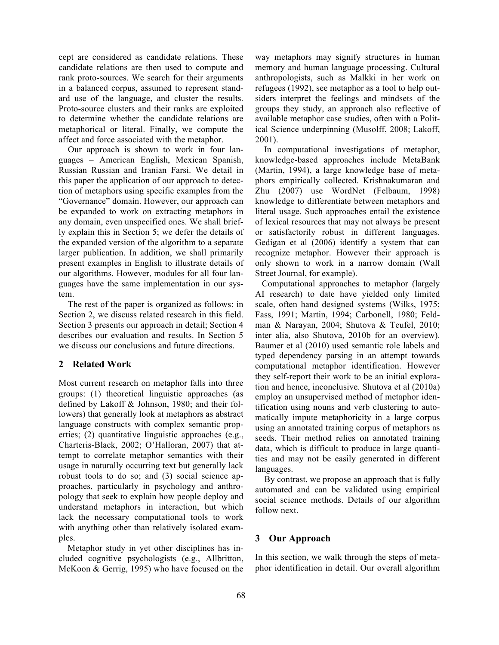cept are considered as candidate relations. These candidate relations are then used to compute and rank proto-sources. We search for their arguments in a balanced corpus, assumed to represent standard use of the language, and cluster the results. Proto-source clusters and their ranks are exploited to determine whether the candidate relations are metaphorical or literal. Finally, we compute the affect and force associated with the metaphor.

Our approach is shown to work in four languages – American English, Mexican Spanish, Russian Russian and Iranian Farsi. We detail in this paper the application of our approach to detection of metaphors using specific examples from the "Governance" domain. However, our approach can be expanded to work on extracting metaphors in any domain, even unspecified ones. We shall briefly explain this in Section 5; we defer the details of the expanded version of the algorithm to a separate larger publication. In addition, we shall primarily present examples in English to illustrate details of our algorithms. However, modules for all four languages have the same implementation in our system.

The rest of the paper is organized as follows: in Section 2, we discuss related research in this field. Section 3 presents our approach in detail; Section 4 describes our evaluation and results. In Section 5 we discuss our conclusions and future directions.

# **2 Related Work**

Most current research on metaphor falls into three groups: (1) theoretical linguistic approaches (as defined by Lakoff & Johnson, 1980; and their followers) that generally look at metaphors as abstract language constructs with complex semantic properties; (2) quantitative linguistic approaches (e.g., Charteris-Black, 2002; O'Halloran, 2007) that attempt to correlate metaphor semantics with their usage in naturally occurring text but generally lack robust tools to do so; and (3) social science approaches, particularly in psychology and anthropology that seek to explain how people deploy and understand metaphors in interaction, but which lack the necessary computational tools to work with anything other than relatively isolated examples.

 Metaphor study in yet other disciplines has included cognitive psychologists (e.g., Allbritton, McKoon & Gerrig, 1995) who have focused on the way metaphors may signify structures in human memory and human language processing. Cultural anthropologists, such as Malkki in her work on refugees (1992), see metaphor as a tool to help outsiders interpret the feelings and mindsets of the groups they study, an approach also reflective of available metaphor case studies, often with a Political Science underpinning (Musolff, 2008; Lakoff, 2001).

 In computational investigations of metaphor, knowledge-based approaches include MetaBank (Martin, 1994), a large knowledge base of metaphors empirically collected. Krishnakumaran and Zhu (2007) use WordNet (Felbaum, 1998) knowledge to differentiate between metaphors and literal usage. Such approaches entail the existence of lexical resources that may not always be present or satisfactorily robust in different languages. Gedigan et al (2006) identify a system that can recognize metaphor. However their approach is only shown to work in a narrow domain (Wall Street Journal, for example).

 Computational approaches to metaphor (largely AI research) to date have yielded only limited scale, often hand designed systems (Wilks, 1975; Fass, 1991; Martin, 1994; Carbonell, 1980; Feldman & Narayan, 2004; Shutova & Teufel, 2010; inter alia, also Shutova, 2010b for an overview). Baumer et al (2010) used semantic role labels and typed dependency parsing in an attempt towards computational metaphor identification. However they self-report their work to be an initial exploration and hence, inconclusive. Shutova et al (2010a) employ an unsupervised method of metaphor identification using nouns and verb clustering to automatically impute metaphoricity in a large corpus using an annotated training corpus of metaphors as seeds. Their method relies on annotated training data, which is difficult to produce in large quantities and may not be easily generated in different languages.

By contrast, we propose an approach that is fully automated and can be validated using empirical social science methods. Details of our algorithm follow next.

# **3 Our Approach**

In this section, we walk through the steps of metaphor identification in detail. Our overall algorithm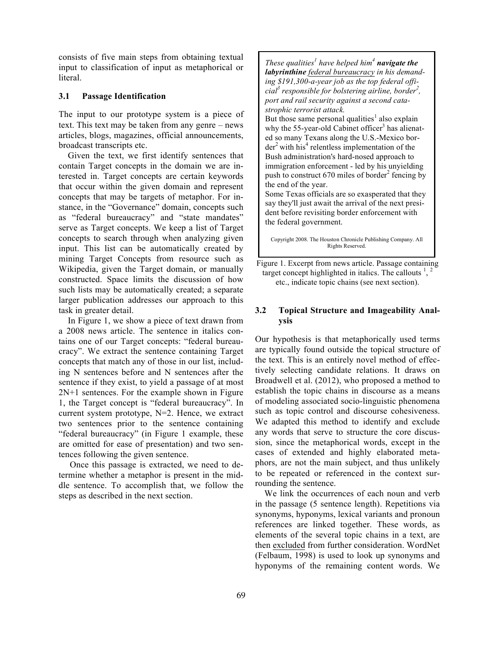consists of five main steps from obtaining textual input to classification of input as metaphorical or literal.

#### **3.1 Passage Identification**

The input to our prototype system is a piece of text. This text may be taken from any genre – news articles, blogs, magazines, official announcements, broadcast transcripts etc.

Given the text, we first identify sentences that contain Target concepts in the domain we are interested in. Target concepts are certain keywords that occur within the given domain and represent concepts that may be targets of metaphor. For instance, in the "Governance" domain, concepts such as "federal bureaucracy" and "state mandates" serve as Target concepts. We keep a list of Target concepts to search through when analyzing given input. This list can be automatically created by mining Target Concepts from resource such as Wikipedia, given the Target domain, or manually constructed. Space limits the discussion of how such lists may be automatically created; a separate larger publication addresses our approach to this task in greater detail.

In Figure 1, we show a piece of text drawn from a 2008 news article. The sentence in italics contains one of our Target concepts: "federal bureaucracy". We extract the sentence containing Target concepts that match any of those in our list, including N sentences before and N sentences after the sentence if they exist, to yield a passage of at most 2N+1 sentences. For the example shown in Figure 1, the Target concept is "federal bureaucracy". In current system prototype, N=2. Hence, we extract two sentences prior to the sentence containing "federal bureaucracy" (in Figure 1 example, these are omitted for ease of presentation) and two sentences following the given sentence.

 Once this passage is extracted, we need to determine whether a metaphor is present in the middle sentence. To accomplish that, we follow the steps as described in the next section.

*These qualities<sup>1</sup> have helped him<sup>4</sup> navigate the labyrinthine federal bureaucracy in his demanding \$191,300-a-year job as the top federal official3 responsible for bolstering airline, border<sup>2</sup> , port and rail security against a second catastrophic terrorist attack.* But those same personal qualities<sup>1</sup> also explain why the 55-year-old Cabinet officer<sup>3</sup> has alienated so many Texans along the U.S.-Mexico bor $der<sup>2</sup>$  with his<sup>4</sup> relentless implementation of the Bush administration's hard-nosed approach to immigration enforcement - led by his unyielding push to construct 670 miles of border<sup>2</sup> fencing by the end of the year. Some Texas officials are so exasperated that they

say they'll just await the arrival of the next president before revisiting border enforcement with the federal government.

Copyright 2008. The Houston Chronicle Publishing Company. All Rights Reserved.

Figure 1. Excerpt from news article. Passage containing target concept highlighted in italics. The callouts  $\frac{1}{2}$ ,  $\frac{2}{3}$ etc., indicate topic chains (see next section).

### **3.2 Topical Structure and Imageability Analysis**

Our hypothesis is that metaphorically used terms are typically found outside the topical structure of the text. This is an entirely novel method of effectively selecting candidate relations. It draws on Broadwell et al. (2012), who proposed a method to establish the topic chains in discourse as a means of modeling associated socio-linguistic phenomena such as topic control and discourse cohesiveness. We adapted this method to identify and exclude any words that serve to structure the core discussion, since the metaphorical words, except in the cases of extended and highly elaborated metaphors, are not the main subject, and thus unlikely to be repeated or referenced in the context surrounding the sentence.

We link the occurrences of each noun and verb in the passage (5 sentence length). Repetitions via synonyms, hyponyms, lexical variants and pronoun references are linked together. These words, as elements of the several topic chains in a text, are then excluded from further consideration. WordNet (Felbaum, 1998) is used to look up synonyms and hyponyms of the remaining content words. We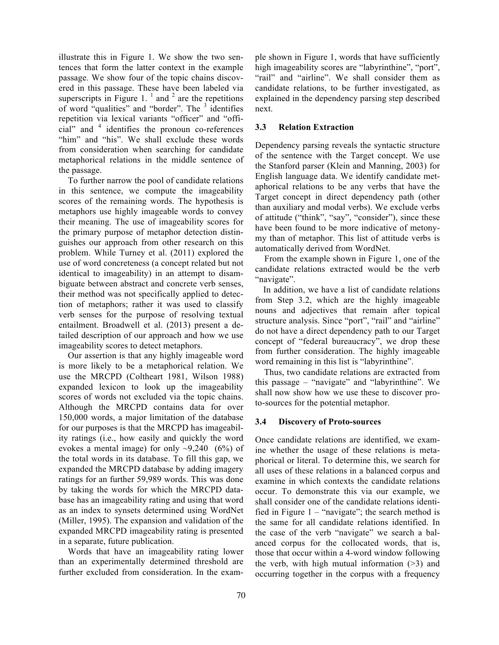illustrate this in Figure 1. We show the two sentences that form the latter context in the example passage. We show four of the topic chains discovered in this passage. These have been labeled via superscripts in Figure 1.  $<sup>1</sup>$  and  $<sup>2</sup>$  are the repetitions</sup></sup> of word "qualities" and "border". The  $3$  identifies repetition via lexical variants "officer" and "official" and <sup>4</sup> identifies the pronoun co-references "him" and "his". We shall exclude these words from consideration when searching for candidate metaphorical relations in the middle sentence of the passage.

To further narrow the pool of candidate relations in this sentence, we compute the imageability scores of the remaining words. The hypothesis is metaphors use highly imageable words to convey their meaning. The use of imageability scores for the primary purpose of metaphor detection distinguishes our approach from other research on this problem. While Turney et al. (2011) explored the use of word concreteness (a concept related but not identical to imageability) in an attempt to disambiguate between abstract and concrete verb senses, their method was not specifically applied to detection of metaphors; rather it was used to classify verb senses for the purpose of resolving textual entailment. Broadwell et al. (2013) present a detailed description of our approach and how we use imageability scores to detect metaphors.

Our assertion is that any highly imageable word is more likely to be a metaphorical relation. We use the MRCPD (Coltheart 1981, Wilson 1988) expanded lexicon to look up the imageability scores of words not excluded via the topic chains. Although the MRCPD contains data for over 150,000 words, a major limitation of the database for our purposes is that the MRCPD has imageability ratings (i.e., how easily and quickly the word evokes a mental image) for only  $\sim 9,240$  (6%) of the total words in its database. To fill this gap, we expanded the MRCPD database by adding imagery ratings for an further 59,989 words. This was done by taking the words for which the MRCPD database has an imageability rating and using that word as an index to synsets determined using WordNet (Miller, 1995). The expansion and validation of the expanded MRCPD imageability rating is presented in a separate, future publication.

Words that have an imageability rating lower than an experimentally determined threshold are further excluded from consideration. In the example shown in Figure 1, words that have sufficiently high imageability scores are "labyrinthine", "port", "rail" and "airline". We shall consider them as candidate relations, to be further investigated, as explained in the dependency parsing step described next.

### **3.3 Relation Extraction**

Dependency parsing reveals the syntactic structure of the sentence with the Target concept. We use the Stanford parser (Klein and Manning, 2003) for English language data. We identify candidate metaphorical relations to be any verbs that have the Target concept in direct dependency path (other than auxiliary and modal verbs). We exclude verbs of attitude ("think", "say", "consider"), since these have been found to be more indicative of metonymy than of metaphor. This list of attitude verbs is automatically derived from WordNet.

From the example shown in Figure 1, one of the candidate relations extracted would be the verb "navigate".

 In addition, we have a list of candidate relations from Step 3.2, which are the highly imageable nouns and adjectives that remain after topical structure analysis. Since "port", "rail" and "airline" do not have a direct dependency path to our Target concept of "federal bureaucracy", we drop these from further consideration. The highly imageable word remaining in this list is "labyrinthine".

 Thus, two candidate relations are extracted from this passage – "navigate" and "labyrinthine". We shall now show how we use these to discover proto-sources for the potential metaphor.

# **3.4 Discovery of Proto-sources**

Once candidate relations are identified, we examine whether the usage of these relations is metaphorical or literal. To determine this, we search for all uses of these relations in a balanced corpus and examine in which contexts the candidate relations occur. To demonstrate this via our example, we shall consider one of the candidate relations identified in Figure  $1 -$  "navigate"; the search method is the same for all candidate relations identified. In the case of the verb "navigate" we search a balanced corpus for the collocated words, that is, those that occur within a 4-word window following the verb, with high mutual information  $($ >3) and occurring together in the corpus with a frequency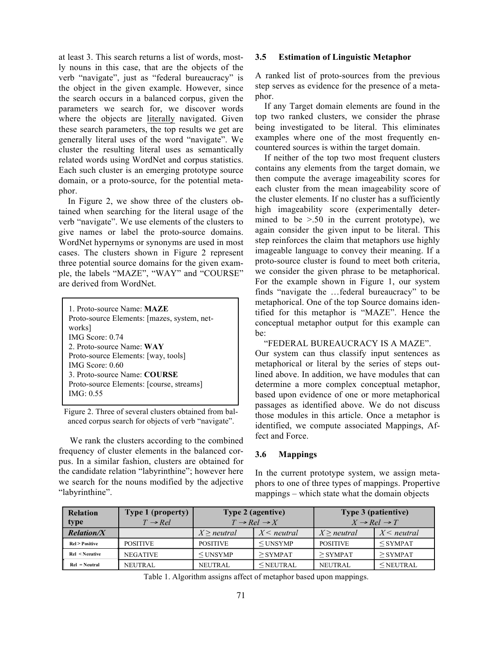at least 3. This search returns a list of words, mostly nouns in this case, that are the objects of the verb "navigate", just as "federal bureaucracy" is the object in the given example. However, since the search occurs in a balanced corpus, given the parameters we search for, we discover words where the objects are literally navigated. Given these search parameters, the top results we get are generally literal uses of the word "navigate". We cluster the resulting literal uses as semantically related words using WordNet and corpus statistics. Each such cluster is an emerging prototype source domain, or a proto-source, for the potential metaphor.

In Figure 2, we show three of the clusters obtained when searching for the literal usage of the verb "navigate". We use elements of the clusters to give names or label the proto-source domains. WordNet hypernyms or synonyms are used in most cases. The clusters shown in Figure 2 represent three potential source domains for the given example, the labels "MAZE", "WAY" and "COURSE" are derived from WordNet.

| 1 Proto-source Name: <b>MAZE</b><br>Proto-source Elements: [mazes, system, net- |
|---------------------------------------------------------------------------------|
| works]                                                                          |
| IMG Score: $0.74$<br>2 Proto-source Name: WAY                                   |
| Proto-source Elements: [way, tools]                                             |
| IMG Score: $0.60$<br>3. Proto-source Name: COURSE                               |
| Proto-source Elements: [course, streams]                                        |
| IMG: $0.55$                                                                     |

Figure 2. Three of several clusters obtained from balanced corpus search for objects of verb "navigate".

 We rank the clusters according to the combined frequency of cluster elements in the balanced corpus. In a similar fashion, clusters are obtained for the candidate relation "labyrinthine"; however here we search for the nouns modified by the adjective "labyrinthine".

#### **3.5 Estimation of Linguistic Metaphor**

A ranked list of proto-sources from the previous step serves as evidence for the presence of a metaphor.

If any Target domain elements are found in the top two ranked clusters, we consider the phrase being investigated to be literal. This eliminates examples where one of the most frequently encountered sources is within the target domain.

If neither of the top two most frequent clusters contains any elements from the target domain, we then compute the average imageability scores for each cluster from the mean imageability score of the cluster elements. If no cluster has a sufficiently high imageability score (experimentally determined to be  $> 0.50$  in the current prototype), we again consider the given input to be literal. This step reinforces the claim that metaphors use highly imageable language to convey their meaning. If a proto-source cluster is found to meet both criteria, we consider the given phrase to be metaphorical. For the example shown in Figure 1, our system finds "navigate the …federal bureaucracy" to be metaphorical. One of the top Source domains identified for this metaphor is "MAZE". Hence the conceptual metaphor output for this example can be:

"FEDERAL BUREAUCRACY IS A MAZE". Our system can thus classify input sentences as metaphorical or literal by the series of steps outlined above. In addition, we have modules that can determine a more complex conceptual metaphor, based upon evidence of one or more metaphorical passages as identified above. We do not discuss those modules in this article. Once a metaphor is identified, we compute associated Mappings, Affect and Force.

# **3.6 Mappings**

In the current prototype system, we assign metaphors to one of three types of mappings. Propertive mappings – which state what the domain objects

| <b>Relation</b><br>type    | <b>Type 1 (property)</b><br>$T \rightarrow Rel$ | <b>Type 2 (agentive)</b><br>$T \rightarrow Rel \rightarrow X$ |               | Type 3 (patientive)<br>$X \rightarrow Rel \rightarrow T$ |               |
|----------------------------|-------------------------------------------------|---------------------------------------------------------------|---------------|----------------------------------------------------------|---------------|
| <b>Relation/X</b>          |                                                 | $X$ > neutral                                                 | $X$ < neutral | $X$ > neutral                                            | $X$ < neutral |
| <b>Rel &gt; Positive</b>   | <b>POSITIVE</b>                                 | <b>POSITIVE</b>                                               | $<$ UNSYMP    | <b>POSITIVE</b>                                          | $<$ SYMPAT    |
| $Rel \le Ne$ <i>sative</i> | <b>NEGATIVE</b>                                 | $<$ UNSYMP                                                    | $>$ SYMPAT    | $>$ SYMPAT                                               | $>$ SYMPAT    |
| $Rel = Neutral$            | <b>NEUTRAL</b>                                  | <b>NEUTRAL</b>                                                | $<$ NEUTRAL   | <b>NEUTRAL</b>                                           | $<$ NEUTRAL   |

Table 1. Algorithm assigns affect of metaphor based upon mappings.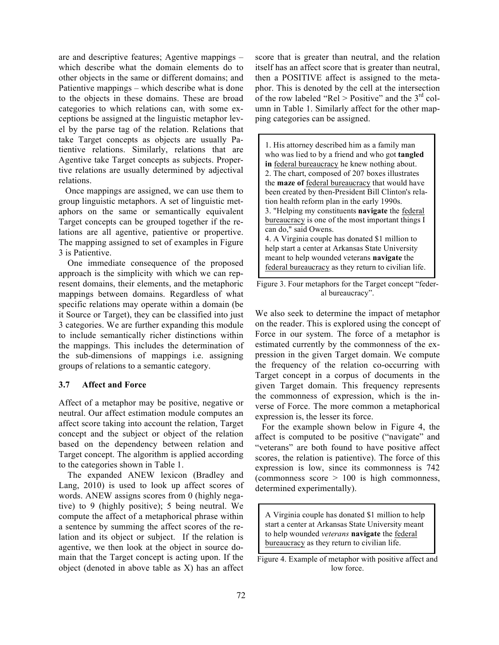are and descriptive features; Agentive mappings – which describe what the domain elements do to other objects in the same or different domains; and Patientive mappings – which describe what is done to the objects in these domains. These are broad categories to which relations can, with some exceptions be assigned at the linguistic metaphor level by the parse tag of the relation. Relations that take Target concepts as objects are usually Patientive relations. Similarly, relations that are Agentive take Target concepts as subjects. Propertive relations are usually determined by adjectival relations.

 Once mappings are assigned, we can use them to group linguistic metaphors. A set of linguistic metaphors on the same or semantically equivalent Target concepts can be grouped together if the relations are all agentive, patientive or propertive. The mapping assigned to set of examples in Figure 3 is Patientive.

 One immediate consequence of the proposed approach is the simplicity with which we can represent domains, their elements, and the metaphoric mappings between domains. Regardless of what specific relations may operate within a domain (be it Source or Target), they can be classified into just 3 categories. We are further expanding this module to include semantically richer distinctions within the mappings. This includes the determination of the sub-dimensions of mappings i.e. assigning groups of relations to a semantic category.

#### **3.7 Affect and Force**

Affect of a metaphor may be positive, negative or neutral. Our affect estimation module computes an affect score taking into account the relation, Target concept and the subject or object of the relation based on the dependency between relation and Target concept. The algorithm is applied according to the categories shown in Table 1.

 The expanded ANEW lexicon (Bradley and Lang, 2010) is used to look up affect scores of words. ANEW assigns scores from 0 (highly negative) to 9 (highly positive); 5 being neutral. We compute the affect of a metaphorical phrase within a sentence by summing the affect scores of the relation and its object or subject. If the relation is agentive, we then look at the object in source domain that the Target concept is acting upon. If the object (denoted in above table as X) has an affect score that is greater than neutral, and the relation itself has an affect score that is greater than neutral, then a POSITIVE affect is assigned to the metaphor. This is denoted by the cell at the intersection of the row labeled "Rel > Positive" and the  $3<sup>rd</sup>$  column in Table 1. Similarly affect for the other mapping categories can be assigned.

| 1. His attorney described him as a family man          |
|--------------------------------------------------------|
| who was lied to by a friend and who got tangled        |
| in federal bureaucracy he knew nothing about.          |
| 2. The chart, composed of 207 boxes illustrates        |
| the <b>maze of</b> federal bureaucracy that would have |
| been created by then-President Bill Clinton's rela-    |
| tion health reform plan in the early 1990s.            |
| 3. "Helping my constituents navigate the federal       |
| bureaucracy is one of the most important things I      |
| can do," said Owens.                                   |
| 4. A Virginia couple has donated \$1 million to        |
| help start a center at Arkansas State University       |
| meant to help wounded veterans navigate the            |
| federal bureaucracy as they return to civilian life.   |

Figure 3. Four metaphors for the Target concept "federal bureaucracy".

We also seek to determine the impact of metaphor on the reader. This is explored using the concept of Force in our system. The force of a metaphor is estimated currently by the commonness of the expression in the given Target domain. We compute the frequency of the relation co-occurring with Target concept in a corpus of documents in the given Target domain. This frequency represents the commonness of expression, which is the inverse of Force. The more common a metaphorical expression is, the lesser its force.

 For the example shown below in Figure 4, the affect is computed to be positive ("navigate" and "veterans" are both found to have positive affect scores, the relation is patientive). The force of this expression is low, since its commonness is 742 (commonness score > 100 is high commonness, determined experimentally).

A Virginia couple has donated \$1 million to help start a center at Arkansas State University meant to help wounded *veterans* **navigate** the federal bureaucracy as they return to civilian life.

Figure 4. Example of metaphor with positive affect and low force.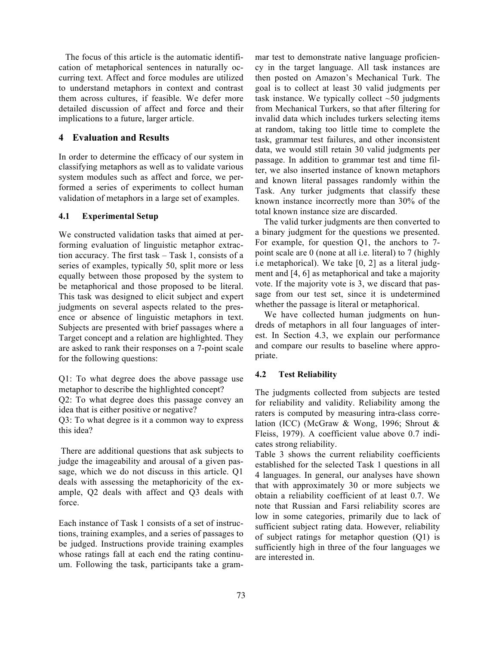The focus of this article is the automatic identification of metaphorical sentences in naturally occurring text. Affect and force modules are utilized to understand metaphors in context and contrast them across cultures, if feasible. We defer more detailed discussion of affect and force and their implications to a future, larger article.

### **4 Evaluation and Results**

In order to determine the efficacy of our system in classifying metaphors as well as to validate various system modules such as affect and force, we performed a series of experiments to collect human validation of metaphors in a large set of examples.

#### **4.1 Experimental Setup**

We constructed validation tasks that aimed at performing evaluation of linguistic metaphor extraction accuracy. The first task – Task 1, consists of a series of examples, typically 50, split more or less equally between those proposed by the system to be metaphorical and those proposed to be literal. This task was designed to elicit subject and expert judgments on several aspects related to the presence or absence of linguistic metaphors in text. Subjects are presented with brief passages where a Target concept and a relation are highlighted. They are asked to rank their responses on a 7-point scale for the following questions:

Q1: To what degree does the above passage use metaphor to describe the highlighted concept?

Q2: To what degree does this passage convey an idea that is either positive or negative?

Q3: To what degree is it a common way to express this idea?

There are additional questions that ask subjects to judge the imageability and arousal of a given passage, which we do not discuss in this article. Q1 deals with assessing the metaphoricity of the example, Q2 deals with affect and Q3 deals with force.

Each instance of Task 1 consists of a set of instructions, training examples, and a series of passages to be judged. Instructions provide training examples whose ratings fall at each end the rating continuum. Following the task, participants take a grammar test to demonstrate native language proficiency in the target language. All task instances are then posted on Amazon's Mechanical Turk. The goal is to collect at least 30 valid judgments per task instance. We typically collect  $~50$  judgments from Mechanical Turkers, so that after filtering for invalid data which includes turkers selecting items at random, taking too little time to complete the task, grammar test failures, and other inconsistent data, we would still retain 30 valid judgments per passage. In addition to grammar test and time filter, we also inserted instance of known metaphors and known literal passages randomly within the Task. Any turker judgments that classify these known instance incorrectly more than 30% of the total known instance size are discarded.

 The valid turker judgments are then converted to a binary judgment for the questions we presented. For example, for question Q1, the anchors to 7 point scale are 0 (none at all i.e. literal) to 7 (highly i.e metaphorical). We take [0, 2] as a literal judgment and [4, 6] as metaphorical and take a majority vote. If the majority vote is 3, we discard that passage from our test set, since it is undetermined whether the passage is literal or metaphorical.

 We have collected human judgments on hundreds of metaphors in all four languages of interest. In Section 4.3, we explain our performance and compare our results to baseline where appropriate.

# **4.2 Test Reliability**

The judgments collected from subjects are tested for reliability and validity. Reliability among the raters is computed by measuring intra-class correlation (ICC) (McGraw & Wong, 1996; Shrout & Fleiss, 1979). A coefficient value above 0.7 indicates strong reliability.

Table 3 shows the current reliability coefficients established for the selected Task 1 questions in all 4 languages. In general, our analyses have shown that with approximately 30 or more subjects we obtain a reliability coefficient of at least 0.7. We note that Russian and Farsi reliability scores are low in some categories, primarily due to lack of sufficient subject rating data. However, reliability of subject ratings for metaphor question (Q1) is sufficiently high in three of the four languages we are interested in.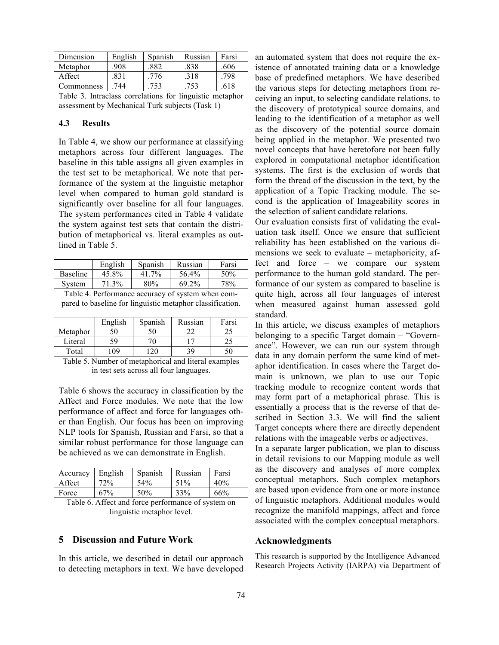| Dimension  | English | Spanish | Russian | Farsi |
|------------|---------|---------|---------|-------|
| Metaphor   | .908    | 882     | .838    | .606  |
| Affect     | 831     | 776     | .318    | 798   |
| Commonness | 744     | 753     |         | 618   |

Table 3. Intraclass correlations for linguistic metaphor assessment by Mechanical Turk subjects (Task 1)

### **4.3 Results**

In Table 4, we show our performance at classifying metaphors across four different languages. The baseline in this table assigns all given examples in the test set to be metaphorical. We note that performance of the system at the linguistic metaphor level when compared to human gold standard is significantly over baseline for all four languages. The system performances cited in Table 4 validate the system against test sets that contain the distribution of metaphorical vs. literal examples as outlined in Table 5.

|          | English | Spanish | Russian | Farsi |
|----------|---------|---------|---------|-------|
| Baseline | 45.8%   | 41 7%   | 56.4%   | 50%   |
| System   | 71.3%   | 80%     | 69.2%   | 78%   |

Table 4. Performance accuracy of system when compared to baseline for linguistic metaphor classification.

|          | English | Spanish | Russian | Farsi |
|----------|---------|---------|---------|-------|
| Metaphor |         | 50      |         | ل ک   |
| Literal  | 59.     |         |         | ن ک   |
| Total    | 09      |         | 39      |       |

Table 5. Number of metaphorical and literal examples in test sets across all four languages.

Table 6 shows the accuracy in classification by the Affect and Force modules. We note that the low performance of affect and force for languages other than English. Our focus has been on improving NLP tools for Spanish, Russian and Farsi, so that a similar robust performance for those language can be achieved as we can demonstrate in English.

| Accuracy | English | Spanish | Russian | Farsi |
|----------|---------|---------|---------|-------|
| Affect   | 72%     | 54%     | 51%     | 40%   |
| Force    | $57\%$  | 50%     | 33%     | 66%   |

Table 6. Affect and force performance of system on linguistic metaphor level.

#### **5 Discussion and Future Work**

In this article, we described in detail our approach to detecting metaphors in text. We have developed an automated system that does not require the existence of annotated training data or a knowledge base of predefined metaphors. We have described the various steps for detecting metaphors from receiving an input, to selecting candidate relations, to the discovery of prototypical source domains, and leading to the identification of a metaphor as well as the discovery of the potential source domain being applied in the metaphor. We presented two novel concepts that have heretofore not been fully explored in computational metaphor identification systems. The first is the exclusion of words that form the thread of the discussion in the text, by the application of a Topic Tracking module. The second is the application of Imageability scores in the selection of salient candidate relations.

Our evaluation consists first of validating the evaluation task itself. Once we ensure that sufficient reliability has been established on the various dimensions we seek to evaluate – metaphoricity, affect and force – we compare our system performance to the human gold standard. The performance of our system as compared to baseline is quite high, across all four languages of interest when measured against human assessed gold standard.

In this article, we discuss examples of metaphors belonging to a specific Target domain – "Governance". However, we can run our system through data in any domain perform the same kind of metaphor identification. In cases where the Target domain is unknown, we plan to use our Topic tracking module to recognize content words that may form part of a metaphorical phrase. This is essentially a process that is the reverse of that described in Section 3.3. We will find the salient Target concepts where there are directly dependent relations with the imageable verbs or adjectives.

In a separate larger publication, we plan to discuss in detail revisions to our Mapping module as well as the discovery and analyses of more complex conceptual metaphors. Such complex metaphors are based upon evidence from one or more instance of linguistic metaphors. Additional modules would recognize the manifold mappings, affect and force associated with the complex conceptual metaphors.

#### **Acknowledgments**

This research is supported by the Intelligence Advanced Research Projects Activity (IARPA) via Department of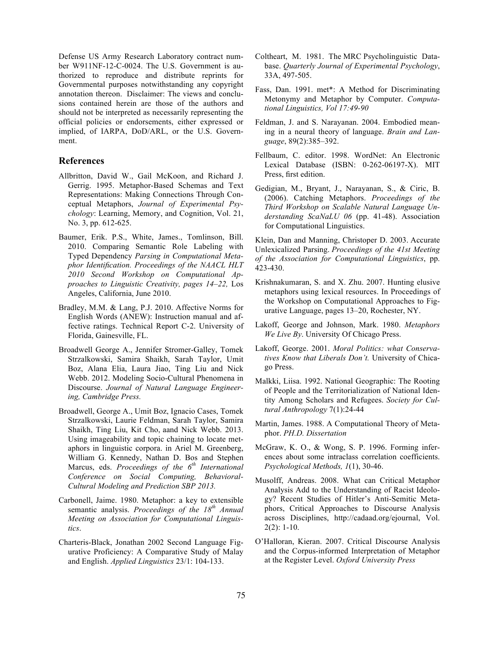Defense US Army Research Laboratory contract number W911NF-12-C-0024. The U.S. Government is authorized to reproduce and distribute reprints for Governmental purposes notwithstanding any copyright annotation thereon. Disclaimer: The views and conclusions contained herein are those of the authors and should not be interpreted as necessarily representing the official policies or endorsements, either expressed or implied, of IARPA, DoD/ARL, or the U.S. Government.

#### **References**

- Allbritton, David W., Gail McKoon, and Richard J. Gerrig. 1995. Metaphor-Based Schemas and Text Representations: Making Connections Through Conceptual Metaphors, *Journal of Experimental Psychology*: Learning, Memory, and Cognition, Vol. 21, No. 3, pp. 612-625.
- Baumer, Erik. P.S., White, James., Tomlinson, Bill. 2010. Comparing Semantic Role Labeling with Typed Dependency *Parsing in Computational Metaphor Identification. Proceedings of the NAACL HLT 2010 Second Workshop on Computational Approaches to Linguistic Creativity, pages 14–22,* Los Angeles, California, June 2010.
- Bradley, M.M. & Lang, P.J. 2010. Affective Norms for English Words (ANEW): Instruction manual and affective ratings. Technical Report C-2. University of Florida, Gainesville, FL.
- Broadwell George A., Jennifer Stromer-Galley, Tomek Strzalkowski, Samira Shaikh, Sarah Taylor, Umit Boz, Alana Elia, Laura Jiao, Ting Liu and Nick Webb. 2012. Modeling Socio-Cultural Phenomena in Discourse. *Journal of Natural Language Engineering, Cambridge Press.*
- Broadwell, George A., Umit Boz, Ignacio Cases, Tomek Strzalkowski, Laurie Feldman, Sarah Taylor, Samira Shaikh, Ting Liu, Kit Cho, aand Nick Webb. 2013. Using imageability and topic chaining to locate metaphors in linguistic corpora. in Ariel M. Greenberg, William G. Kennedy, Nathan D. Bos and Stephen Marcus, eds. *Proceedings of the 6th International Conference on Social Computing, Behavioral-Cultural Modeling and Prediction SBP 2013.*
- Carbonell, Jaime. 1980. Metaphor: a key to extensible semantic analysis. *Proceedings of the 18th Annual Meeting on Association for Computational Linguistics*.
- Charteris-Black, Jonathan 2002 Second Language Figurative Proficiency: A Comparative Study of Malay and English. *Applied Linguistics* 23/1: 104-133.
- Coltheart, M. 1981. The MRC Psycholinguistic Database. *Quarterly Journal of Experimental Psychology*, 33A, 497-505.
- Fass, Dan. 1991. met\*: A Method for Discriminating Metonymy and Metaphor by Computer. *Computational Linguistics, Vol 17:49-90*
- Feldman, J. and S. Narayanan. 2004. Embodied meaning in a neural theory of language. *Brain and Language*, 89(2):385–392.
- Fellbaum, C. editor. 1998. WordNet: An Electronic Lexical Database (ISBN: 0-262-06197-X). MIT Press, first edition.
- Gedigian, M., Bryant, J., Narayanan, S., & Ciric, B. (2006). Catching Metaphors. *Proceedings of the Third Workshop on Scalable Natural Language Understanding ScaNaLU 06* (pp. 41-48). Association for Computational Linguistics.

Klein, Dan and Manning, Christoper D. 2003. Accurate Unlexicalized Parsing. *Proceedings of the 41st Meeting of the Association for Computational Linguistics*, pp. 423-430.

- Krishnakumaran, S. and X. Zhu. 2007. Hunting elusive metaphors using lexical resources. In Proceedings of the Workshop on Computational Approaches to Figurative Language, pages 13–20, Rochester, NY.
- Lakoff, George and Johnson, Mark. 1980. *Metaphors We Live By*. University Of Chicago Press.
- Lakoff, George. 2001. *Moral Politics: what Conservatives Know that Liberals Don't.* University of Chicago Press.
- Malkki, Liisa. 1992. National Geographic: The Rooting of People and the Territorialization of National Identity Among Scholars and Refugees. *Society for Cultural Anthropology* 7(1):24-44
- Martin, James. 1988. A Computational Theory of Metaphor. *PH.D. Dissertation*
- McGraw, K. O., & Wong, S. P. 1996. Forming inferences about some intraclass correlation coefficients. *Psychological Methods, 1*(1), 30-46.
- Musolff, Andreas. 2008. What can Critical Metaphor Analysis Add to the Understanding of Racist Ideology? Recent Studies of Hitler's Anti-Semitic Metaphors, Critical Approaches to Discourse Analysis across Disciplines, http://cadaad.org/ejournal, Vol. 2(2): 1-10.
- O'Halloran, Kieran. 2007. Critical Discourse Analysis and the Corpus-informed Interpretation of Metaphor at the Register Level. *Oxford University Press*